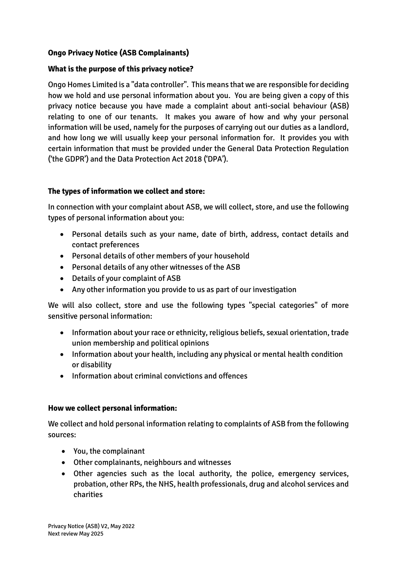# **Ongo Privacy Notice (ASB Complainants)**

#### **What is the purpose of this privacy notice?**

Ongo Homes Limited is a "data controller". This means that we are responsible for deciding how we hold and use personal information about you. You are being given a copy of this privacy notice because you have made a complaint about anti-social behaviour (ASB) relating to one of our tenants. It makes you aware of how and why your personal information will be used, namely for the purposes of carrying out our duties as a landlord, and how long we will usually keep your personal information for. It provides you with certain information that must be provided under the General Data Protection Regulation ('the GDPR') and the Data Protection Act 2018 ('DPA').

#### **The types of information we collect and store:**

In connection with your complaint about ASB, we will collect, store, and use the following types of personal information about you:

- Personal details such as your name, date of birth, address, contact details and contact preferences
- Personal details of other members of your household
- Personal details of any other witnesses of the ASB
- Details of your complaint of ASB
- Any other information you provide to us as part of our investigation

We will also collect, store and use the following types "special categories" of more sensitive personal information:

- Information about your race or ethnicity, religious beliefs, sexual orientation, trade union membership and political opinions
- Information about your health, including any physical or mental health condition or disability
- Information about criminal convictions and offences

#### **How we collect personal information:**

We collect and hold personal information relating to complaints of ASB from the following sources:

- You, the complainant
- Other complainants, neighbours and witnesses
- Other agencies such as the local authority, the police, emergency services, probation, other RPs, the NHS, health professionals, drug and alcohol services and charities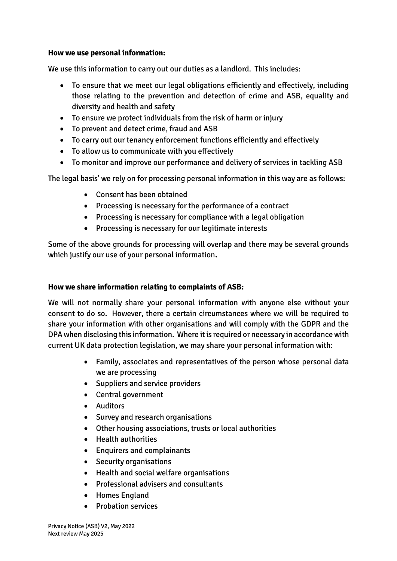#### **How we use personal information:**

We use this information to carry out our duties as a landlord. This includes:

- To ensure that we meet our legal obligations efficiently and effectively, including those relating to the prevention and detection of crime and ASB, equality and diversity and health and safety
- To ensure we protect individuals from the risk of harm or injury
- To prevent and detect crime, fraud and ASB
- To carry out our tenancy enforcement functions efficiently and effectively
- To allow us to communicate with you effectively
- To monitor and improve our performance and delivery of services in tackling ASB

The legal basis' we rely on for processing personal information in this way are as follows:

- Consent has been obtained
- Processing is necessary for the performance of a contract
- Processing is necessary for compliance with a legal obligation
- Processing is necessary for our legitimate interests

Some of the above grounds for processing will overlap and there may be several grounds which justify our use of your personal information**.**

#### **How we share information relating to complaints of ASB:**

We will not normally share your personal information with anyone else without your consent to do so. However, there a certain circumstances where we will be required to share your information with other organisations and will comply with the GDPR and the DPA when disclosing this information. Where it is required or necessary in accordance with current UK data protection legislation, we may share your personal information with:

- Family, associates and representatives of the person whose personal data we are processing
- Suppliers and service providers
- Central government
- Auditors
- Survey and research organisations
- Other housing associations, trusts or local authorities
- Health authorities
- Enquirers and complainants
- Security organisations
- Health and social welfare organisations
- Professional advisers and consultants
- Homes England
- Probation services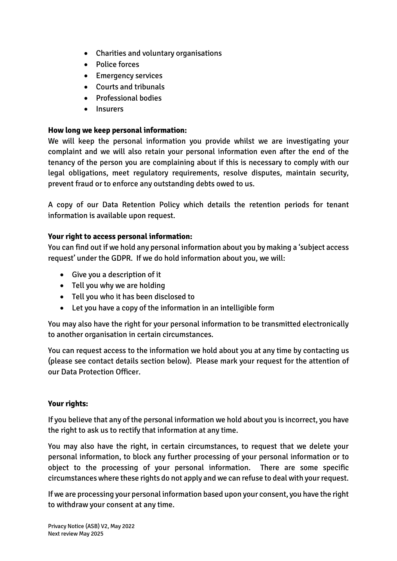- Charities and voluntary organisations
- Police forces
- Emergency services
- Courts and tribunals
- Professional bodies
- Insurers

# **How long we keep personal information:**

We will keep the personal information you provide whilst we are investigating your complaint and we will also retain your personal information even after the end of the tenancy of the person you are complaining about if this is necessary to comply with our legal obligations, meet regulatory requirements, resolve disputes, maintain security, prevent fraud or to enforce any outstanding debts owed to us.

A copy of our Data Retention Policy which details the retention periods for tenant information is available upon request.

# **Your right to access personal information:**

You can find out if we hold any personal information about you by making a 'subject access request' under the GDPR. If we do hold information about you, we will:

- Give you a description of it
- Tell you why we are holding
- Tell you who it has been disclosed to
- Let you have a copy of the information in an intelligible form

You may also have the right for your personal information to be transmitted electronically to another organisation in certain circumstances.

You can request access to the information we hold about you at any time by contacting us (please see contact details section below). Please mark your request for the attention of our Data Protection Officer.

# **Your rights:**

If you believe that any of the personal information we hold about you is incorrect, you have the right to ask us to rectify that information at any time.

You may also have the right, in certain circumstances, to request that we delete your personal information, to block any further processing of your personal information or to object to the processing of your personal information. There are some specific circumstances where these rights do not apply and we can refuse to deal with your request.

If we are processing your personal information based upon your consent, you have the right to withdraw your consent at any time.